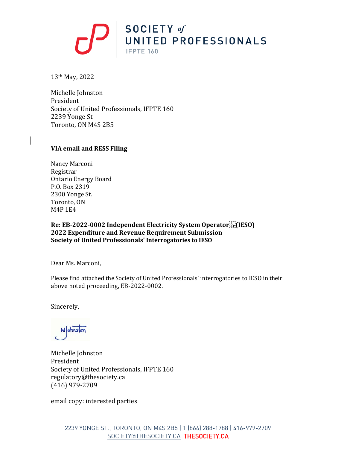

13th May, 2022

Michelle Johnston President Society of United Professionals, IFPTE 160 2239 Yonge St Toronto, ON M4S 2B5

#### **VIA email and RESS Filing**

Nancy Marconi Registrar Ontario Energy Board P.O. Box 2319 2300 Yonge St. Toronto, ON M4P 1E4

**Re: EB-2022-0002 Independent Electricity System Operator (IESO) 2022 Expenditure and Revenue Requirement Submission Society of United Professionals' Interrogatories to IESO**

Dear Ms. Marconi,

Please find attached the Society of United Professionals' interrogatories to IESO in their above noted proceeding, EB-2022-0002.

Sincerely,

Mohnston

Michelle Johnston President Society of United Professionals, IFPTE 160 regulatory@thesociety.ca (416) 979-2709

email copy: interested parties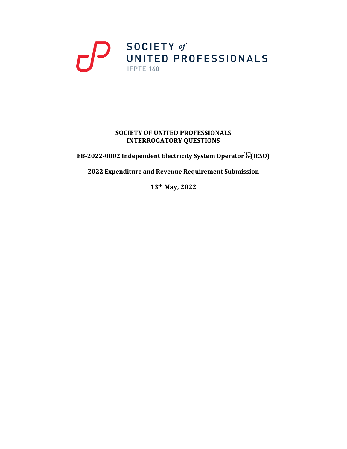# $\sum_{\text{INITED PROFESSIONALS}}$

### **SOCIETY OF UNITED PROFESSIONALS INTERROGATORY QUESTIONS**

**EB-2022-0002 Independent Electricity System Operator (IESO)**

**2022 Expenditure and Revenue Requirement Submission**

**13th May, 2022**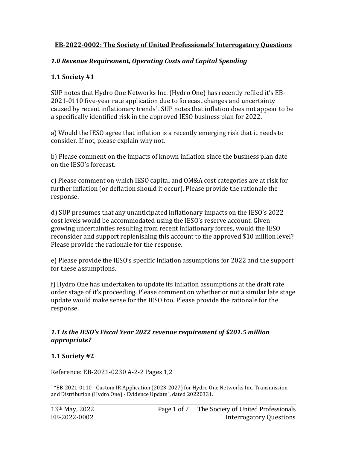## **EB-2022-0002: The Society of United Professionals' Interrogatory Questions**

## *1.0 Revenue Requirement, Operating Costs and Capital Spending*

## **1.1 Society #1**

SUP notes that Hydro One Networks Inc. (Hydro One) has recently refiled it's EB-2021-0110 five-year rate application due to forecast changes and uncertainty caused by recent inflationary trends<sup>1</sup>. SUP notes that inflation does not appear to be a specifically identified risk in the approved IESO business plan for 2022.

a) Would the IESO agree that inflation is a recently emerging risk that it needs to consider. If not, please explain why not.

b) Please comment on the impacts of known inflation since the business plan date on the IESO's forecast.

c) Please comment on which IESO capital and OM&A cost categories are at risk for further inflation (or deflation should it occur). Please provide the rationale the response.

d) SUP presumes that any unanticipated inflationary impacts on the IESO's 2022 cost levels would be accommodated using the IESO's reserve account. Given growing uncertainties resulting from recent inflationary forces, would the IESO reconsider and support replenishing this account to the approved \$10 million level? Please provide the rationale for the response.

e) Please provide the IESO's specific inflation assumptions for 2022 and the support for these assumptions.

f) Hydro One has undertaken to update its inflation assumptions at the draft rate order stage of it's proceeding. Please comment on whether or not a similar late stage update would make sense for the IESO too. Please provide the rationale for the response.

## *1.1 Is the IESO's Fiscal Year 2022 revenue requirement of \$201.5 million appropriate?*

## **1.1 Society #2**

Reference: EB-2021-0230 A-2-2 Pages 1,2

<sup>1</sup> "EB-2021-0110 - Custom IR Application (2023-2027) for Hydro One Networks Inc. Transmission and Distribution (Hydro One) - Evidence Update", dated 20220331.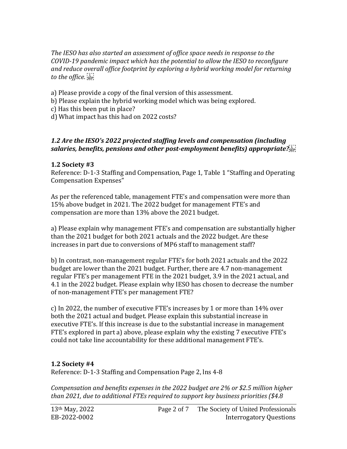*The IESO has also started an assessment of office space needs in response to the COVID-19 pandemic impact which has the potential to allow the IESO to reconfigure and reduce overall office footprint by exploring a hybrid working model for returning to the office.* 

a) Please provide a copy of the final version of this assessment.

b) Please explain the hybrid working model which was being explored.

c) Has this been put in place?

d) What impact has this had on 2022 costs?

## *1.2 Are the IESO's 2022 projected staffing levels and compensation (including salaries, benefits, pensions and other post-employment benefits) appropriate?*

## **1.2 Society #3**

Reference: D-1-3 Staffing and Compensation, Page 1, Table 1 "Staffing and Operating Compensation Expenses"

As per the referenced table, management FTE's and compensation were more than 15% above budget in 2021. The 2022 budget for management FTE's and compensation are more than 13% above the 2021 budget.

a) Please explain why management FTE's and compensation are substantially higher than the 2021 budget for both 2021 actuals and the 2022 budget. Are these increases in part due to conversions of MP6 staff to management staff?

b) In contrast, non-management regular FTE's for both 2021 actuals and the 2022 budget are lower than the 2021 budget. Further, there are 4.7 non-management regular FTE's per management FTE in the 2021 budget, 3.9 in the 2021 actual, and 4.1 in the 2022 budget. Please explain why IESO has chosen to decrease the number of non-management FTE's per management FTE?

c) In 2022, the number of executive FTE's increases by 1 or more than 14% over both the 2021 actual and budget. Please explain this substantial increase in executive FTE's. If this increase is due to the substantial increase in management FTE's explored in part a) above, please explain why the existing 7 executive FTE's could not take line accountability for these additional management FTE's.

## **1.2 Society #4**

Reference: D-1-3 Staffing and Compensation Page 2, lns 4-8

*Compensation and benefits expenses in the 2022 budget are 2% or \$2.5 million higher than 2021, due to additional FTEs required to support key business priorities (\$4.8*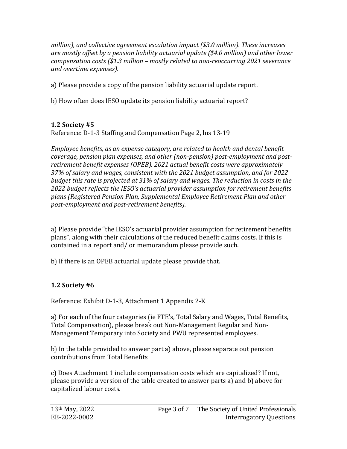*million), and collective agreement escalation impact (\$3.0 million). These increases are mostly offset by a pension liability actuarial update (\$4.0 million) and other lower compensation costs (\$1.3 million – mostly related to non-reoccurring 2021 severance and overtime expenses).*

a) Please provide a copy of the pension liability actuarial update report.

b) How often does IESO update its pension liability actuarial report?

# **1.2 Society #5**

Reference: D-1-3 Staffing and Compensation Page 2, lns 13-19

*Employee benefits, as an expense category, are related to health and dental benefit coverage, pension plan expenses, and other (non-pension) post-employment and postretirement benefit expenses (OPEB). 2021 actual benefit costs were approximately 37% of salary and wages, consistent with the 2021 budget assumption, and for 2022 budget this rate is projected at 31% of salary and wages. The reduction in costs in the 2022 budget reflects the IESO's actuarial provider assumption for retirement benefits plans (Registered Pension Plan, Supplemental Employee Retirement Plan and other post-employment and post-retirement benefits).* 

a) Please provide "the IESO's actuarial provider assumption for retirement benefits plans", along with their calculations of the reduced benefit claims costs. If this is contained in a report and/ or memorandum please provide such.

b) If there is an OPEB actuarial update please provide that.

# **1.2 Society #6**

Reference: Exhibit D-1-3, Attachment 1 Appendix 2-K

a) For each of the four categories (ie FTE's, Total Salary and Wages, Total Benefits, Total Compensation), please break out Non-Management Regular and Non-Management Temporary into Society and PWU represented employees.

b) In the table provided to answer part a) above, please separate out pension contributions from Total Benefits

c) Does Attachment 1 include compensation costs which are capitalized? If not, please provide a version of the table created to answer parts a) and b) above for capitalized labour costs.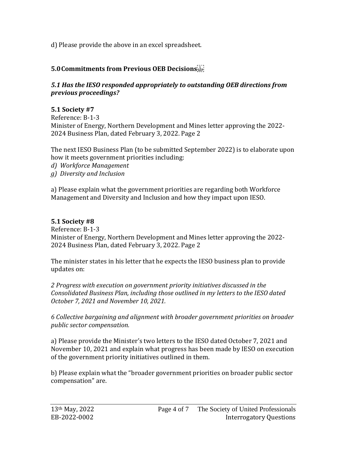d) Please provide the above in an excel spreadsheet.

# **5.0Commitments from Previous OEB Decisions**

## *5.1 Has the IESO responded appropriately to outstanding OEB directions from previous proceedings?*

# **5.1 Society #7**

Reference: B-1-3 Minister of Energy, Northern Development and Mines letter approving the 2022- 2024 Business Plan, dated February 3, 2022. Page 2

The next IESO Business Plan (to be submitted September 2022) is to elaborate upon how it meets government priorities including: *d) Workforce Management g) Diversity and Inclusion* 

a) Please explain what the government priorities are regarding both Workforce Management and Diversity and Inclusion and how they impact upon IESO.

# **5.1 Society #8**

Reference: B-1-3 Minister of Energy, Northern Development and Mines letter approving the 2022- 2024 Business Plan, dated February 3, 2022. Page 2

The minister states in his letter that he expects the IESO business plan to provide updates on:

*2 Progress with execution on government priority initiatives discussed in the Consolidated Business Plan, including those outlined in my letters to the IESO dated October 7, 2021 and November 10, 2021.* 

*6 Collective bargaining and alignment with broader government priorities on broader public sector compensation.* 

a) Please provide the Minister's two letters to the IESO dated October 7, 2021 and November 10, 2021 and explain what progress has been made by IESO on execution of the government priority initiatives outlined in them.

b) Please explain what the "broader government priorities on broader public sector compensation" are.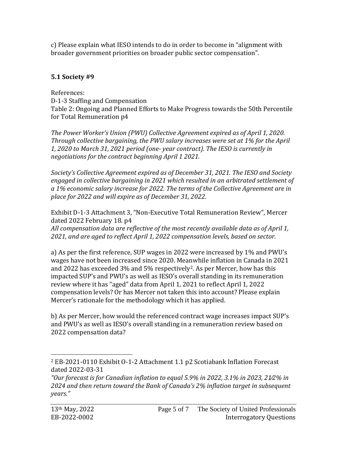c) Please explain what IESO intends to do in order to become in "alignment with broader government priorities on broader public sector compensation".

# **5.1 Society #9**

# References:

D-1-3 Staffing and Compensation Table 2: Ongoing and Planned Efforts to Make Progress towards the 50th Percentile for Total Remuneration p4

*The Power Worker's Union (PWU) Collective Agreement expired as of April 1, 2020. Through collective bargaining, the PWU salary increases were set at 1% for the April 1, 2020 to March 31, 2021 period (one- year contract). The IESO is currently in negotiations for the contract beginning April 1 2021.* 

*Society's Collective Agreement expired as of December 31, 2021. The IESO and Society engaged in collective bargaining in 2021 which resulted in an arbitrated settlement of a 1% economic salary increase for 2022. The terms of the Collective Agreement are in place for 2022 and will expire as of December 31, 2022.* 

Exhibit D-1-3 Attachment 3, "Non-Executive Total Remuneration Review", Mercer dated 2022 February 18. p4

*All compensation data are reflective of the most recently available data as of April 1, 2021, and are aged to reflect April 1, 2022 compensation levels, based on sector.* 

a) As per the first reference, SUP wages in 2022 were increased by 1% and PWU's wages have not been increased since 2020. Meanwhile inflation in Canada in 2021 and 2022 has exceeded 3% and 5% respectively<sup>2</sup>. As per Mercer, how has this impacted SUP's and PWU's as well as IESO's overall standing in its remuneration review where it has "aged" data from April 1, 2021 to reflect April 1, 2022 compensation levels? Or has Mercer not taken this into account? Please explain Mercer's rationale for the methodology which it has applied.

b) As per Mercer, how would the referenced contract wage increases impact SUP's and PWU's as well as IESO's overall standing in a remuneration review based on 2022 compensation data?

<sup>2</sup> EB-2021-0110 Exhibit O-1-2 Attachment 1.1 p2 Scotiabank Inflation Forecast dated 2022-03-31

*<sup>&</sup>quot;Our forecast is for Canadian inflation to equal 5.9% in 2022, 3.1% in 2023, 21⁄2% in 2024 and then return toward the Bank of Canada's 2% inflation target in subsequent years."*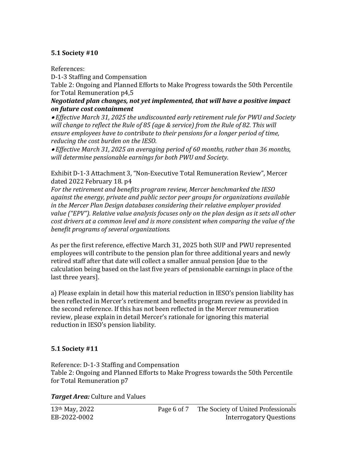## **5.1 Society #10**

References:

D-1-3 Staffing and Compensation

Table 2: Ongoing and Planned Efforts to Make Progress towards the 50th Percentile for Total Remuneration p4,5

## *Negotiated plan changes, not yet implemented, that will have a positive impact on future cost containment*

• *Effective March 31, 2025 the undiscounted early retirement rule for PWU and Society will change to reflect the Rule of 85 (age & service) from the Rule of 82. This will ensure employees have to contribute to their pensions for a longer period of time, reducing the cost burden on the IESO.* 

• *Effective March 31, 2025 an averaging period of 60 months, rather than 36 months, will determine pensionable earnings for both PWU and Society.* 

Exhibit D-1-3 Attachment 3, "Non-Executive Total Remuneration Review", Mercer dated 2022 February 18. p4

*For the retirement and benefits program review, Mercer benchmarked the IESO against the energy, private and public sector peer groups for organizations available in the Mercer Plan Design databases considering their relative employer provided value ("EPV"). Relative value analysis focuses only on the plan design as it sets all other cost drivers at a common level and is more consistent when comparing the value of the benefit programs of several organizations.* 

As per the first reference, effective March 31, 2025 both SUP and PWU represented employees will contribute to the pension plan for three additional years and newly retired staff after that date will collect a smaller annual pension [due to the calculation being based on the last five years of pensionable earnings in place of the last three years].

a) Please explain in detail how this material reduction in IESO's pension liability has been reflected in Mercer's retirement and benefits program review as provided in the second reference. If this has not been reflected in the Mercer remuneration review, please explain in detail Mercer's rationale for ignoring this material reduction in IESO's pension liability.

## **5.1 Society #11**

Reference: D-1-3 Staffing and Compensation Table 2: Ongoing and Planned Efforts to Make Progress towards the 50th Percentile for Total Remuneration p7

*Target Area:* Culture and Values